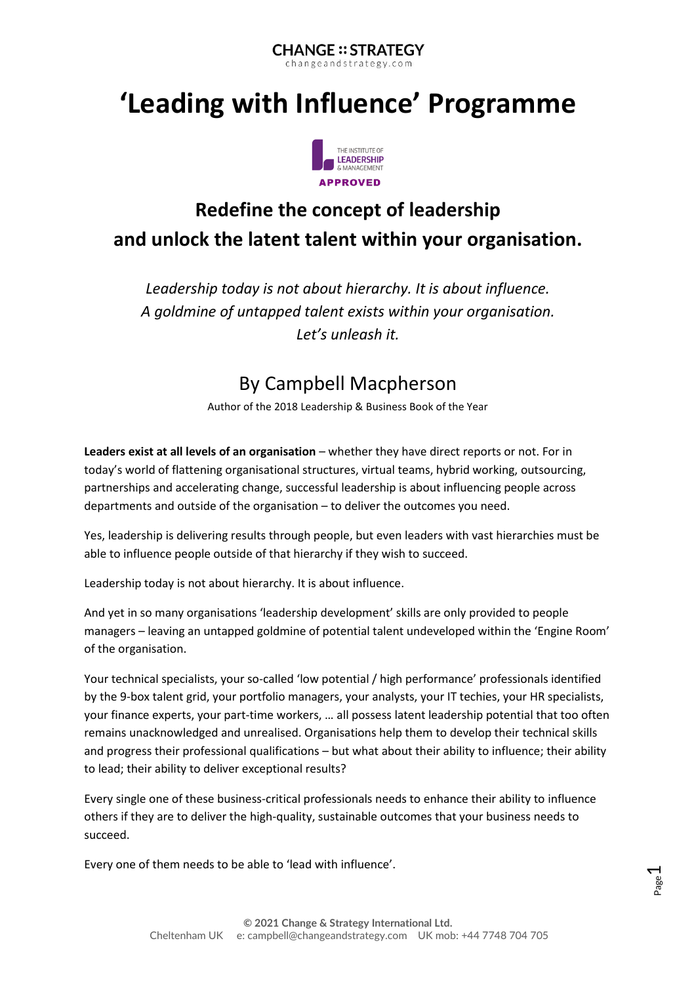#### **CHANGE:: STRATEGY** changeandstrategy.com

# **'Leading with Influence' Programme**



# **Redefine the concept of leadership and unlock the latent talent within your organisation.**

*Leadership today is not about hierarchy. It is about influence. A goldmine of untapped talent exists within your organisation. Let's unleash it.*

## By Campbell Macpherson

Author of the 2018 Leadership & Business Book of the Year

**Leaders exist at all levels of an organisation** – whether they have direct reports or not. For in today's world of flattening organisational structures, virtual teams, hybrid working, outsourcing, partnerships and accelerating change, successful leadership is about influencing people across departments and outside of the organisation – to deliver the outcomes you need.

Yes, leadership is delivering results through people, but even leaders with vast hierarchies must be able to influence people outside of that hierarchy if they wish to succeed.

Leadership today is not about hierarchy. It is about influence.

And yet in so many organisations 'leadership development' skills are only provided to people managers – leaving an untapped goldmine of potential talent undeveloped within the 'Engine Room' of the organisation.

Your technical specialists, your so-called 'low potential / high performance' professionals identified by the 9-box talent grid, your portfolio managers, your analysts, your IT techies, your HR specialists, your finance experts, your part-time workers, … all possess latent leadership potential that too often remains unacknowledged and unrealised. Organisations help them to develop their technical skills and progress their professional qualifications – but what about their ability to influence; their ability to lead; their ability to deliver exceptional results?

Every single one of these business-critical professionals needs to enhance their ability to influence others if they are to deliver the high-quality, sustainable outcomes that your business needs to succeed.

Every one of them needs to be able to 'lead with influence'.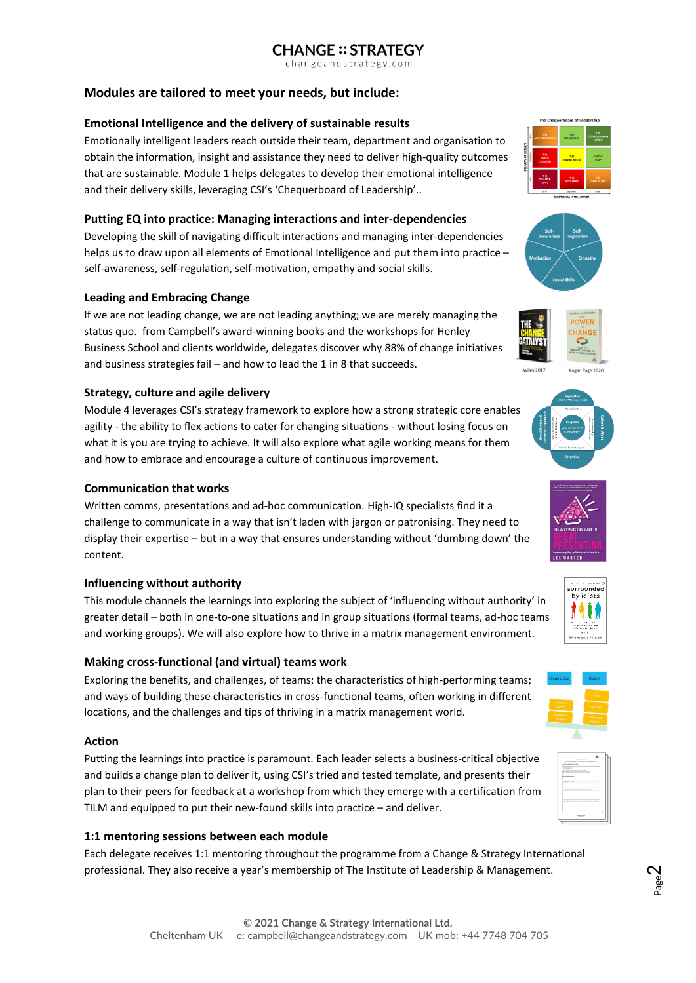### **CHANGE:: STRATEGY**

changeandstrategy.com

#### **Modules are tailored to meet your needs, but include:**

#### **Emotional Intelligence and the delivery of sustainable results**

Emotionally intelligent leaders reach outside their team, department and organisation to obtain the information, insight and assistance they need to deliver high-quality outcomes that are sustainable. Module 1 helps delegates to develop their emotional intelligence and their delivery skills, leveraging CSI's 'Chequerboard of Leadership'..

#### **Putting EQ into practice: Managing interactions and inter-dependencies**

Developing the skill of navigating difficult interactions and managing inter-dependencies helps us to draw upon all elements of Emotional Intelligence and put them into practice – self-awareness, self-regulation, self-motivation, empathy and social skills.

#### **Leading and Embracing Change**

If we are not leading change, we are not leading anything; we are merely managing the status quo. from Campbell's award-winning books and the workshops for Henley Business School and clients worldwide, delegates discover why 88% of change initiatives and business strategies fail – and how to lead the 1 in 8 that succeeds.

#### **Strategy, culture and agile delivery**

Module 4 leverages CSI's strategy framework to explore how a strong strategic core enables agility - the ability to flex actions to cater for changing situations - without losing focus on what it is you are trying to achieve. It will also explore what agile working means for them and how to embrace and encourage a culture of continuous improvement.

#### **Communication that works**

Written comms, presentations and ad-hoc communication. High-IQ specialists find it a challenge to communicate in a way that isn't laden with jargon or patronising. They need to display their expertise – but in a way that ensures understanding without 'dumbing down' the content.

#### **Influencing without authority**

This module channels the learnings into exploring the subject of 'influencing without authority' in greater detail – both in one-to-one situations and in group situations (formal teams, ad-hoc teams and working groups). We will also explore how to thrive in a matrix management environment.

#### **Making cross-functional (and virtual) teams work**

Exploring the benefits, and challenges, of teams; the characteristics of high-performing teams; and ways of building these characteristics in cross-functional teams, often working in different locations, and the challenges and tips of thriving in a matrix management world.

#### **Action**

Putting the learnings into practice is paramount. Each leader selects a business-critical objective and builds a change plan to deliver it, using CSI's tried and tested template, and presents their plan to their peers for feedback at a workshop from which they emerge with a certification from TILM and equipped to put their new-found skills into practice – and deliver.

#### **1:1 mentoring sessions between each module**

Each delegate receives 1:1 mentoring throughout the programme from a Change & Strategy International professional. They also receive a year's membership of The Institute of Leadership & Management.















| Copy for track.                                              |   |
|--------------------------------------------------------------|---|
| For all of participant and a profit and                      |   |
| <b>A CA BACKER CORP.</b>                                     |   |
| LESTER BARNE                                                 |   |
|                                                              |   |
| to a statement of the control of the state and               |   |
| --------                                                     |   |
| <b>Reduction Street</b>                                      |   |
| <b>CALIFORNIA DE MARCO COMPANYA COMPANY</b>                  |   |
| by box date jobs out also, instigence ingrede into accessive |   |
| content                                                      | t |